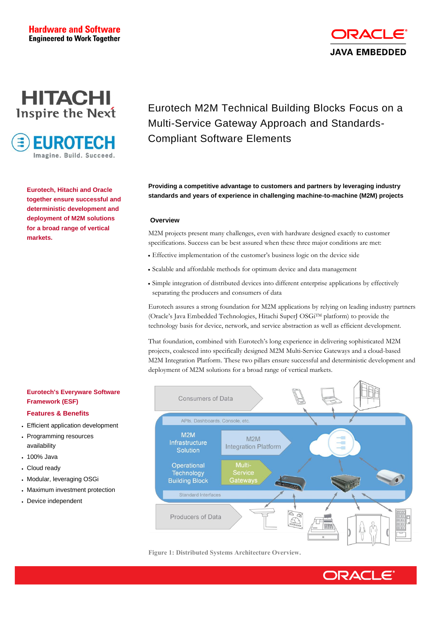## **Hardware and Software Engineered to Work Together**



**EUROTECH** Imagine, Build, Succeed

> **Eurotech, Hitachi and Oracle together ensure successful and deterministic development and deployment of M2M solutions for a broad range of vertical markets.**

# Eurotech M2M Technical Building Blocks Focus on a Multi-Service Gateway Approach and Standards-Compliant Software Elements

**JAVA EMBEDDED** 

**Providing a competitive advantage to customers and partners by leveraging industry standards and years of experience in challenging machine-to-machine (M2M) projects**

#### **Overview**

M2M projects present many challenges, even with hardware designed exactly to customer specifications. Success can be best assured when these three major conditions are met:

- Effective implementation of the customer's business logic on the device side
- Scalable and affordable methods for optimum device and data management
- Simple integration of distributed devices into different enterprise applications by effectively separating the producers and consumers of data

Eurotech assures a strong foundation for M2M applications by relying on leading industry partners (Oracle's Java Embedded Technologies, Hitachi SuperJ OSGiTM platform) to provide the technology basis for device, network, and service abstraction as well as efficient development.

That foundation, combined with Eurotech's long experience in delivering sophisticated M2M projects, coalesced into specifically designed M2M Multi-Service Gateways and a cloud-based M2M Integration Platform. These two pillars ensure successful and deterministic development and deployment of M2M solutions for a broad range of vertical markets.

# **Eurotech's Everyware Software**  Consumers of Data APIs, Dashboards, Console, etc.  $M2M$  $M2M$ Infrastructure Integration Platform Solution Operational Technology **Service Building Block** Gateways Standard Interfaces Producers of Data

#### **Figure 1: Distributed Systems Architecture Overview.**



# **Framework (ESF) Features & Benefits**

- Efficient application development
- Programming resources availability
- 100% Java
- Cloud ready
- Modular, leveraging OSGi
- Maximum investment protection
- Device independent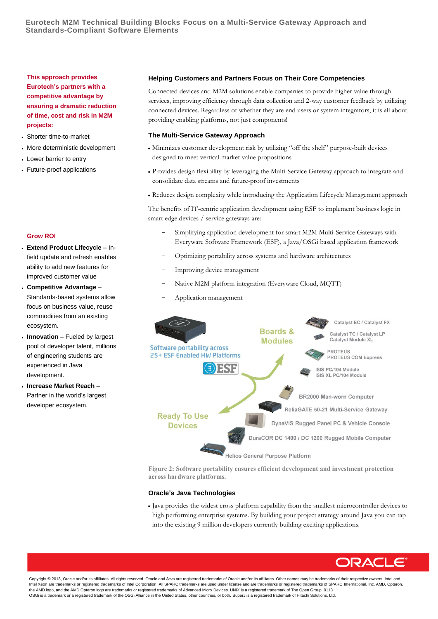**This approach provides Eurotech's partners with a competitive advantage by ensuring a dramatic reduction of time, cost and risk in M2M projects:**

- Shorter time-to-market
- More deterministic development
- Lower barrier to entry
- Future-proof applications

#### **Grow ROI**

- **Extend Product Lifecycle** Infield update and refresh enables ability to add new features for improved customer value
- **Competitive Advantage** Standards-based systems allow focus on business value, reuse commodities from an existing ecosystem.
- **Innovation** Fueled by largest pool of developer talent, millions of engineering students are experienced in Java development.
- **Increase Market Reach** Partner in the world's largest developer ecosystem.

#### **Helping Customers and Partners Focus on Their Core Competencies**

Connected devices and M2M solutions enable companies to provide higher value through services, improving efficiency through data collection and 2-way customer feedback by utilizing connected devices. Regardless of whether they are end users or system integrators, it is all about providing enabling platforms, not just components!

#### **The Multi-Service Gateway Approach**

- Minimizes customer development risk by utilizing "off the shelf" purpose-built devices designed to meet vertical market value propositions
- Provides design flexibility by leveraging the Multi-Service Gateway approach to integrate and consolidate data streams and future-proof investments
- Reduces design complexity while introducing the Application Lifecycle Management approach

The benefits of IT-centric application development using ESF to implement business logic in smart edge devices / service gateways are:

- Simplifying application development for smart M2M Multi-Service Gateways with Everyware Software Framework (ESF), a Java/OSGi based application framework
- Optimizing portability across systems and hardware architectures
- Improving device management
- Native M2M platform integration (Everyware Cloud, MQTT)
- Application management



**Figure 2: Software portability ensures efficient development and investment protection across hardware platforms.**

#### **Oracle's Java Technologies**

 Java provides the widest cross platform capability from the smallest microcontroller devices to high performing enterprise systems. By building your project strategy around Java you can tap into the existing 9 million developers currently building exciting applications.



Copyright © 2013, Oracle and/or its affiliates. All rights reserved. Oracle and Java are registered trademarks of Oracle and/or its affiliates. Other names may be trademarks of their respective owners. Intel and Intel Xeon are trademarks or registered trademarks of Intel Corporation. All SPARC trademarks are used under license and are trademarks or registered trademarks of SPARC International, Inc. AMD, Opteron, the AMD logo, and the AMD Opteron logo are trademarks or registered trademarks of Advanced Micro Devices. UNIX is a registered trademark of The Open Group. 0113 OSGi is a trademark or a registered trademark of the OSGi Alliance in the United States, other countries, or both. SuperJ is a registered trademark of Hitachi Solutions, Ltd.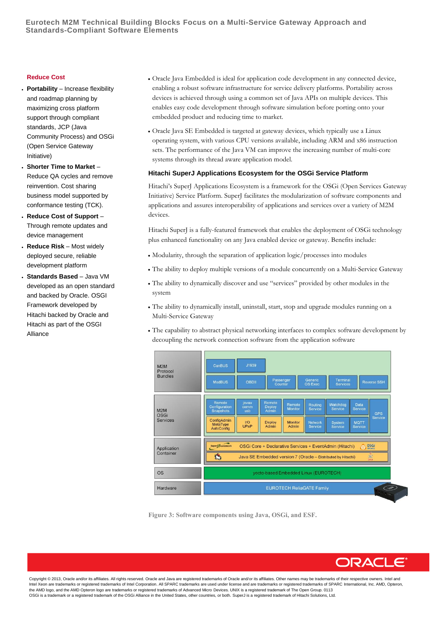### **Eurotech M2M Technical Building Blocks Focus on a Multi-Service Gateway Approach and Standards-Compliant Software Elements**

#### **Reduce Cost**

- **Portability** Increase flexibility and roadmap planning by maximizing cross platform support through compliant standards, JCP (Java Community Process) and OSGi (Open Service Gateway Initiative)
- **Shorter Time to Market** Reduce QA cycles and remove reinvention. Cost sharing business model supported by conformance testing (TCK).
- **Reduce Cost of Support** Through remote updates and device management
- **Reduce Risk** Most widely deployed secure, reliable development platform
- **Standards Based** Java VM developed as an open standard and backed by Oracle. OSGI Framework developed by Hitachi backed by Oracle and Hitachi as part of the OSGI Alliance
- Oracle Java Embedded is ideal for application code development in any connected device, enabling a robust software infrastructure for service delivery platforms. Portability across devices is achieved through using a common set of Java APIs on multiple devices. This enables easy code development through software simulation before porting onto your embedded product and reducing time to market.
- Oracle Java SE Embedded is targeted at gateway devices, which typically use a Linux operating system, with various CPU versions available, including ARM and x86 instruction sets. The performance of the Java VM can improve the increasing number of multi-core systems through its thread aware application model.

#### **Hitachi SuperJ Applications Ecosystem for the OSGi Service Platform**

Hitachi's SuperJ Applications Ecosystem is a framework for the OSGi (Open Services Gateway Initiative) Service Platform. SuperJ facilitates the modularization of software components and applications and assures interoperability of applications and services over a variety of M2M devices.

Hitachi SuperJ is a fully-featured framework that enables the deployment of OSGi technology plus enhanced functionality on any Java enabled device or gateway. Benefits include:

- Modularity, through the separation of application logic/processes into modules
- The ability to deploy multiple versions of a module concurrently on a Multi-Service Gateway
- The ability to dynamically discover and use "services" provided by other modules in the system
- The ability to dynamically install, uninstall, start, stop and upgrade modules running on a Multi-Service Gateway
- The capability to abstract physical networking interfaces to complex software development by decoupling the network connection software from the application software



**Figure 3: Software components using Java, OSGi, and ESF.**

**DRACLE** 

Copyright © 2013, Oracle and/or its affiliates. All rights reserved. Oracle and Java are registered trademarks of Oracle and/or its affiliates. Other names may be trademarks of their respective owners. Intel and Intel Xeon are trademarks or registered trademarks of Intel Corporation. All SPARC trademarks are used under license and are trademarks or registered trademarks of SPARC International, Inc. AMD, Opteron, the AMD logo, and the AMD Opteron logo are trademarks or registered trademarks of Advanced Micro Devices. UNIX is a registered trademark of The Open Group. 0113 OSGi is a trademark or a registered trademark of the OSGi Alliance in the United States, other countries, or both. SuperJ is a registered trademark of Hitachi Solutions, Ltd.